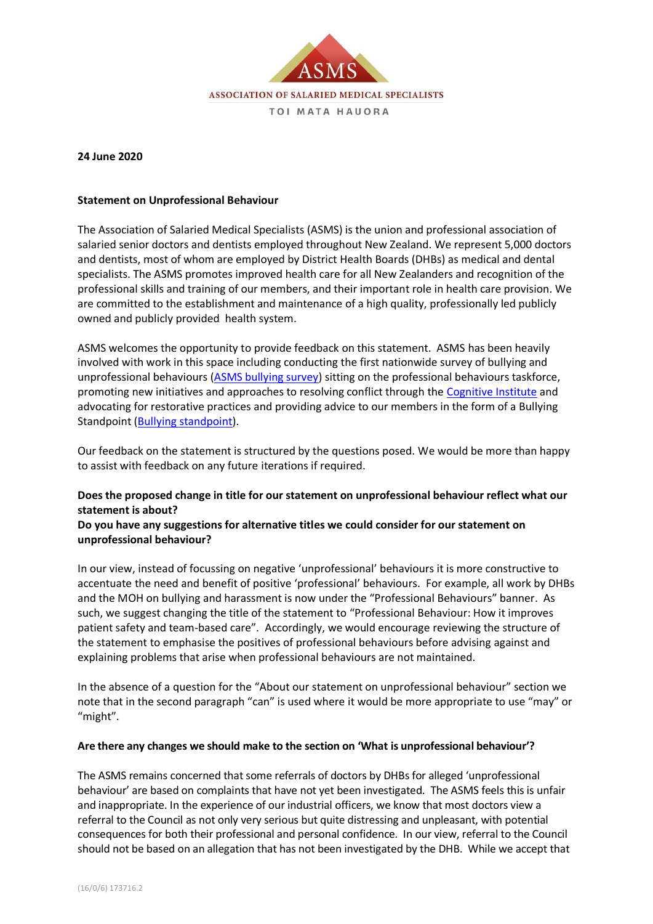

### **24 June 2020**

### **Statement on Unprofessional Behaviour**

The Association of Salaried Medical Specialists (ASMS) is the union and professional association of salaried senior doctors and dentists employed throughout New Zealand. We represent 5,000 doctors and dentists, most of whom are employed by District Health Boards (DHBs) as medical and dental specialists. The ASMS promotes improved health care for all New Zealanders and recognition of the professional skills and training of our members, and their important role in health care provision. We are committed to the establishment and maintenance of a high quality, professionally led publicly owned and publicly provided health system.

ASMS welcomes the opportunity to provide feedback on this statement. ASMS has been heavily involved with work in this space including conducting the first nationwide survey of bullying and unprofessional behaviours [\(ASMS bullying survey\)](https://www.asms.org.nz/wp-content/uploads/2017/11/ASMS-Health-Dialogue-Bullying-WEB.pdf) sitting on the professional behaviours taskforce, promoting new initiatives and approaches to resolving conflict through the [Cognitive Institute](https://www.cognitiveinstitute.org/) and advocating for restorative practices and providing advice to our members in the form of a Bullying Standpoint [\(Bullying standpoint\)](https://www.asms.org.nz/wp-content/uploads/2017/12/Bullying-Standpoint-WEB.pdf).

Our feedback on the statement is structured by the questions posed. We would be more than happy to assist with feedback on any future iterations if required.

# **Does the proposed change in title for our statement on unprofessional behaviour reflect what our statement is about?**

## **Do you have any suggestions for alternative titles we could consider for our statement on unprofessional behaviour?**

In our view, instead of focussing on negative 'unprofessional' behaviours it is more constructive to accentuate the need and benefit of positive 'professional' behaviours. For example, all work by DHBs and the MOH on bullying and harassment is now under the "Professional Behaviours" banner. As such, we suggest changing the title of the statement to "Professional Behaviour: How it improves patient safety and team-based care". Accordingly, we would encourage reviewing the structure of the statement to emphasise the positives of professional behaviours before advising against and explaining problems that arise when professional behaviours are not maintained.

In the absence of a question for the "About our statement on unprofessional behaviour" section we note that in the second paragraph "can" is used where it would be more appropriate to use "may" or "might".

#### **Are there any changes we should make to the section on 'What is unprofessional behaviour'?**

The ASMS remains concerned that some referrals of doctors by DHBs for alleged 'unprofessional behaviour' are based on complaints that have not yet been investigated. The ASMS feels this is unfair and inappropriate. In the experience of our industrial officers, we know that most doctors view a referral to the Council as not only very serious but quite distressing and unpleasant, with potential consequences for both their professional and personal confidence. In our view, referral to the Council should not be based on an allegation that has not been investigated by the DHB. While we accept that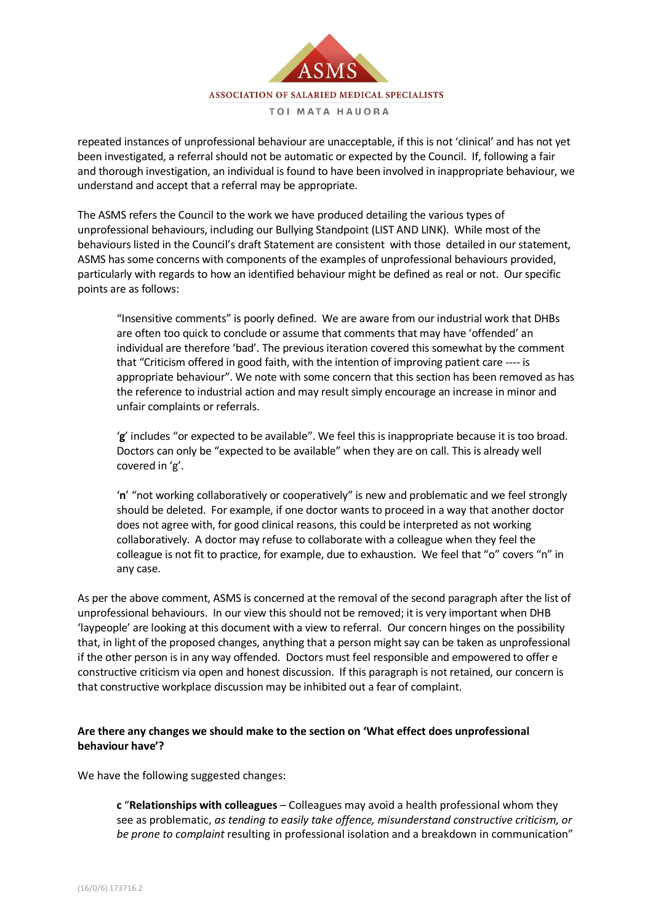

repeated instances of unprofessional behaviour are unacceptable, if this is not 'clinical' and has not yet been investigated, a referral should not be automatic or expected by the Council. If, following a fair and thorough investigation, an individual is found to have been involved in inappropriate behaviour, we understand and accept that a referral may be appropriate.

The ASMS refers the Council to the work we have produced detailing the various types of unprofessional behaviours, including our Bullying Standpoint (LIST AND LINK). While most of the behaviours listed in the Council's draft Statement are consistent with those detailed in ourstatement, ASMS has some concerns with components of the examples of unprofessional behaviours provided, particularly with regards to how an identified behaviour might be defined as real or not. Our specific points are as follows:

"Insensitive comments" is poorly defined. We are aware from our industrial work that DHBs are often too quick to conclude or assume that comments that may have 'offended' an individual are therefore 'bad'. The previous iteration covered this somewhat by the comment that "Criticism offered in good faith, with the intention of improving patient care ---- is appropriate behaviour". We note with some concern that this section has been removed as has the reference to industrial action and may result simply encourage an increase in minor and unfair complaints or referrals.

'**g**' includes "or expected to be available". We feel this is inappropriate because it is too broad. Doctors can only be "expected to be available" when they are on call. This is already well covered in 'g'.

'**n**' "not working collaboratively or cooperatively" is new and problematic and we feel strongly should be deleted. For example, if one doctor wants to proceed in a way that another doctor does not agree with, for good clinical reasons, this could be interpreted as not working collaboratively. A doctor may refuse to collaborate with a colleague when they feel the colleague is not fit to practice, for example, due to exhaustion. We feel that "o" covers "n" in any case.

As per the above comment, ASMS is concerned at the removal of the second paragraph after the list of unprofessional behaviours. In our view this should not be removed; it is very important when DHB 'laypeople' are looking at this document with a view to referral. Our concern hinges on the possibility that, in light of the proposed changes, anything that a person might say can be taken as unprofessional if the other person is in any way offended. Doctors must feel responsible and empowered to offer e constructive criticism via open and honest discussion. If this paragraph is not retained, our concern is that constructive workplace discussion may be inhibited out a fear of complaint.

## **Are there any changes we should make to the section on 'What effect does unprofessional behaviour have'?**

We have the following suggested changes:

**c** "**Relationships with colleagues** – Colleagues may avoid a health professional whom they see as problematic, *as tending to easily take offence, misunderstand constructive criticism, or be prone to complaint* resulting in professional isolation and a breakdown in communication"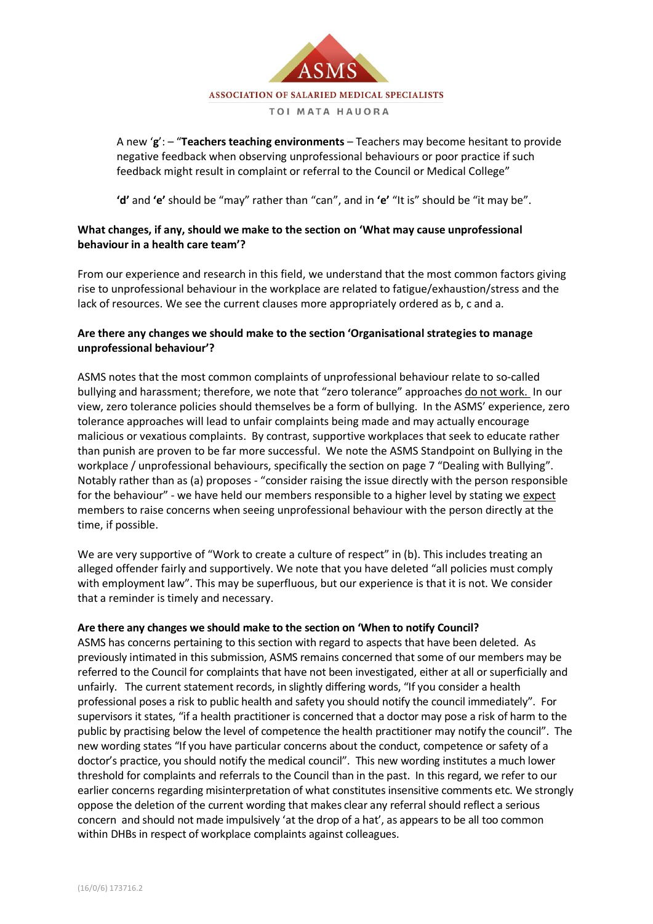

A new '**g**': – "**Teachers teaching environments** – Teachers may become hesitant to provide negative feedback when observing unprofessional behaviours or poor practice if such feedback might result in complaint or referral to the Council or Medical College"

**'d'** and **'e'** should be "may" rather than "can", and in **'e'** "It is" should be "it may be".

# **What changes, if any, should we make to the section on 'What may cause unprofessional behaviour in a health care team'?**

From our experience and research in this field, we understand that the most common factors giving rise to unprofessional behaviour in the workplace are related to fatigue/exhaustion/stress and the lack of resources. We see the current clauses more appropriately ordered as b, c and a.

# **Are there any changes we should make to the section 'Organisational strategies to manage unprofessional behaviour'?**

ASMS notes that the most common complaints of unprofessional behaviour relate to so-called bullying and harassment; therefore, we note that "zero tolerance" approaches do not work. In our view, zero tolerance policies should themselves be a form of bullying. In the ASMS' experience, zero tolerance approaches will lead to unfair complaints being made and may actually encourage malicious or vexatious complaints. By contrast, supportive workplaces that seek to educate rather than punish are proven to be far more successful. We note the ASMS Standpoint on Bullying in the workplace / unprofessional behaviours, specifically the section on page 7 "Dealing with Bullying". Notably rather than as (a) proposes - "consider raising the issue directly with the person responsible for the behaviour" - we have held our members responsible to a higher level by stating we expect members to raise concerns when seeing unprofessional behaviour with the person directly at the time, if possible.

We are very supportive of "Work to create a culture of respect" in (b). This includes treating an alleged offender fairly and supportively. We note that you have deleted "all policies must comply with employment law". This may be superfluous, but our experience is that it is not. We consider that a reminder is timely and necessary.

### **Are there any changes we should make to the section on 'When to notify Council?**

ASMS has concerns pertaining to this section with regard to aspects that have been deleted. As previously intimated in this submission, ASMS remains concerned that some of our members may be referred to the Council for complaints that have not been investigated, either at all or superficially and unfairly. The current statement records, in slightly differing words, "If you consider a health professional poses a risk to public health and safety you should notify the council immediately". For supervisors it states, "if a health practitioner is concerned that a doctor may pose a risk of harm to the public by practising below the level of competence the health practitioner may notify the council". The new wording states "If you have particular concerns about the conduct, competence or safety of a doctor's practice, you should notify the medical council". This new wording institutes a much lower threshold for complaints and referrals to the Council than in the past. In this regard, we refer to our earlier concerns regarding misinterpretation of what constitutes insensitive comments etc. We strongly oppose the deletion of the current wording that makes clear any referral should reflect a serious concern and should not made impulsively 'at the drop of a hat', as appears to be all too common within DHBs in respect of workplace complaints against colleagues.